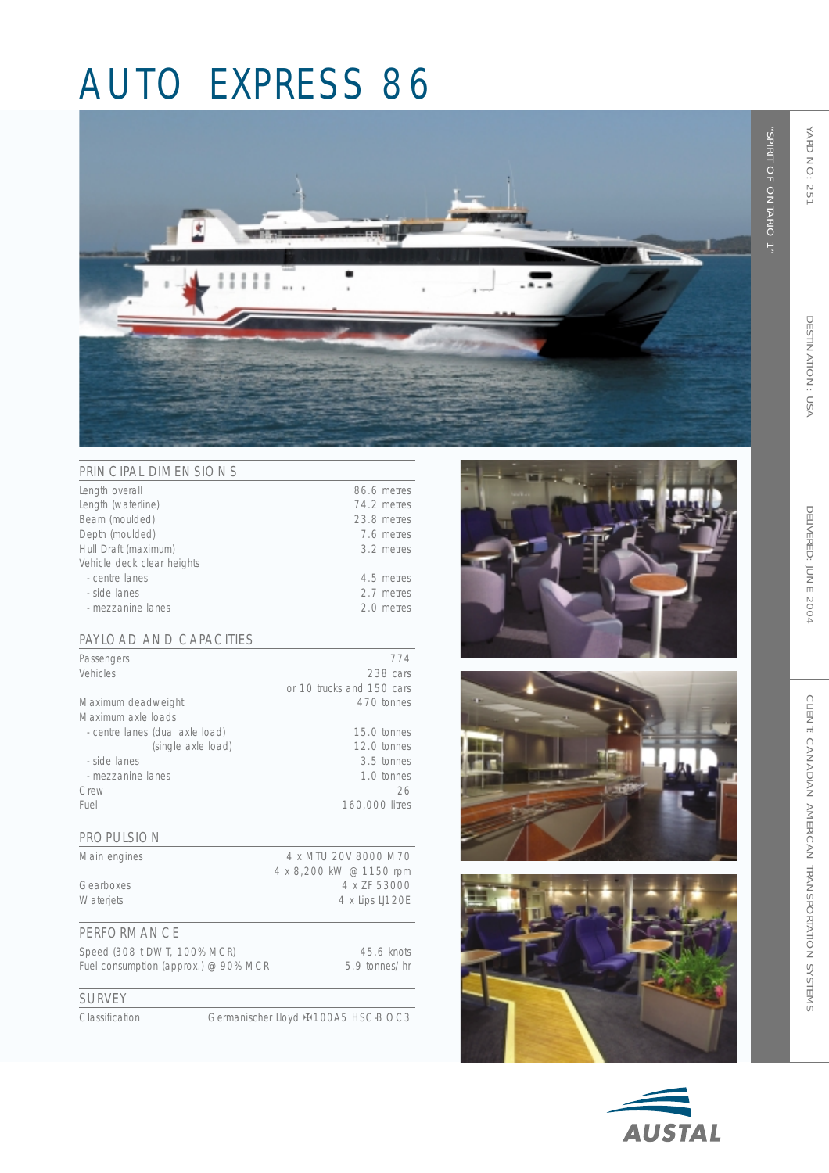## AUTO EXPRESS 86



| PRINCIPAL DIMENSIONS       |             |
|----------------------------|-------------|
| Length overall             | 86.6 metres |
| Length (waterline)         | 74.2 metres |
| Beam (moulded)             | 23.8 metres |
| Depth (moulded)            | 7.6 metres  |
| Hull Draft (maximum)       | 3.2 metres  |
| Vehicle deck clear heights |             |
| - centre lanes             | 4.5 metres  |
| - side lanes               | 2.7 metres  |
| - mezzanine lanes          | 2.0 metres  |

#### PAYLOAD AND CAPACITIES

| Passengers                      | 774                       |
|---------------------------------|---------------------------|
| Vehicles                        | 238 cars                  |
|                                 | or 10 trucks and 150 cars |
| Maximum deadweight              | 470 tonnes                |
| Maximum axle loads              |                           |
| - centre lanes (dual axle load) | 15.0 tonnes               |
| (single axle load)              | 12.0 tonnes               |
| - side lanes                    | 3.5 tonnes                |
| - mezzanine lanes               | 1.0 tonnes                |
| Crew                            | 26                        |
| Fuel                            | 160,000 litres            |
|                                 |                           |

#### PROPULSION

| Main engines     | 4 x MTU 20V 8000 M70    |
|------------------|-------------------------|
|                  | 4 x 8,200 kW @ 1150 rpm |
| Gearboxes        | 4 x ZF 53000            |
| <b>Waterjets</b> | 4 x Lips LJ120E         |
|                  |                         |

#### PERFORMANCE

Speed (308 t DWT, 100% MCR) 45.6 knots<br>Fuel consumption (approx.) @ 90% MCR 5.9 tonnes/hr Fuel consumption (approx.)  $@$  90% MCR

### SURVEY

Classification Germanischer Lloyd ✠ 100A5 HSC-B OC3